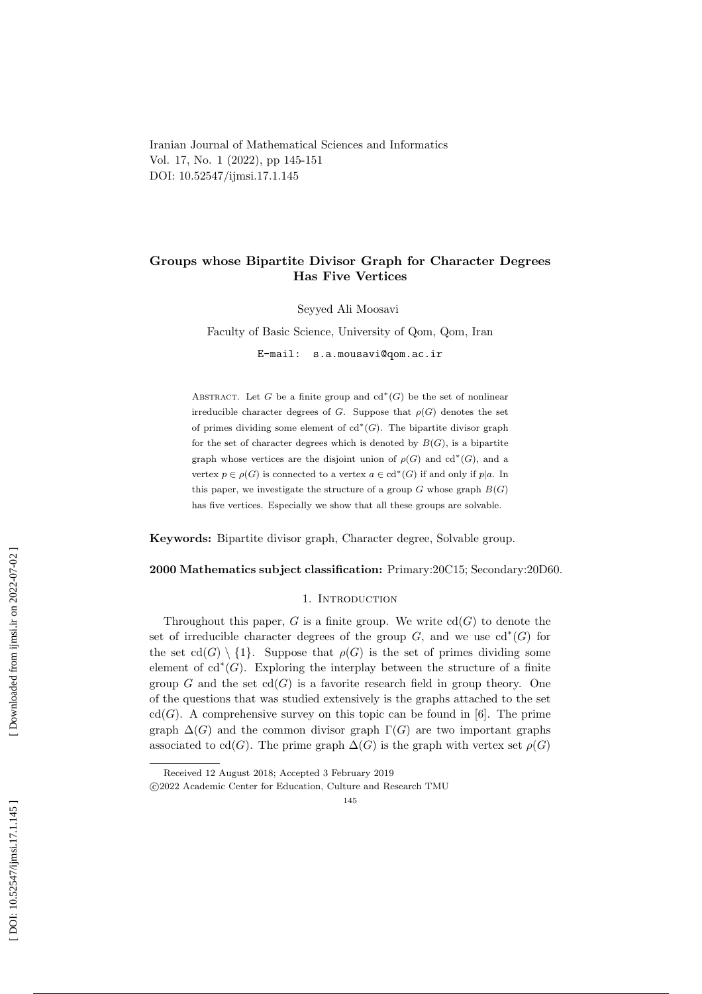Iranian Journal of Mathematical Sciences and Informatics Vol. 17, No. 1 (2022), pp 145-151 DOI: 10.52547/ijmsi.17.1.145

# Groups whose Bipartite Divisor Graph for Character Degrees Has Five Vertices

Seyyed Ali Moosavi

Faculty of Basic Science, University of Qom, Qom, Iran E-mail: s.a.mousavi@qom.ac.ir

ABSTRACT. Let G be a finite group and  $cd^*(G)$  be the set of nonlinear irreducible character degrees of G. Suppose that  $\rho(G)$  denotes the set of primes dividing some element of  $cd^*(G)$ . The bipartite divisor graph for the set of character degrees which is denoted by  $B(G)$ , is a bipartite graph whose vertices are the disjoint union of  $\rho(G)$  and  $cd^*(G)$ , and a vertex  $p \in \rho(G)$  is connected to a vertex  $a \in \text{cd}^*(G)$  if and only if  $p|a$ . In this paper, we investigate the structure of a group  $G$  whose graph  $B(G)$ has five vertices. Especially we show that all these groups are solvable.

Keywords: Bipartite divisor graph, Character degree, Solvable group .

#### 2000 Mathematics subject classification: Primary:20C15; Secondary:20D60.

## 1. INTRODUCTION

Throughout this paper, G is a finite group. We write  $cd(G)$  to denote the set of irreducible character degrees of the group  $G$ , and we use  $cd^*(G)$  for the set  $\text{cd}(G) \setminus \{1\}$ . Suppose that  $\rho(G)$  is the set of primes dividing some element of  $cd^*(G)$ . Exploring the interplay between the structure of a finite group G and the set  $cd(G)$  is a favorite research field in group theory. One of the questions that was studied extensively is the graphs attached to the set  $cd(G)$ . A comprehensive survey on this topic can be found in [6]. The prime graph  $\Delta(G)$  and the common divisor graph  $\Gamma(G)$  are two important graphs associated to cd(G). The prime graph  $\Delta(G)$  is the graph with vertex set  $\rho(G)$ 

Received 12 August 2018; Accepted 3 February 2019

c 2022 Academic Center for Education, Culture and Research TMU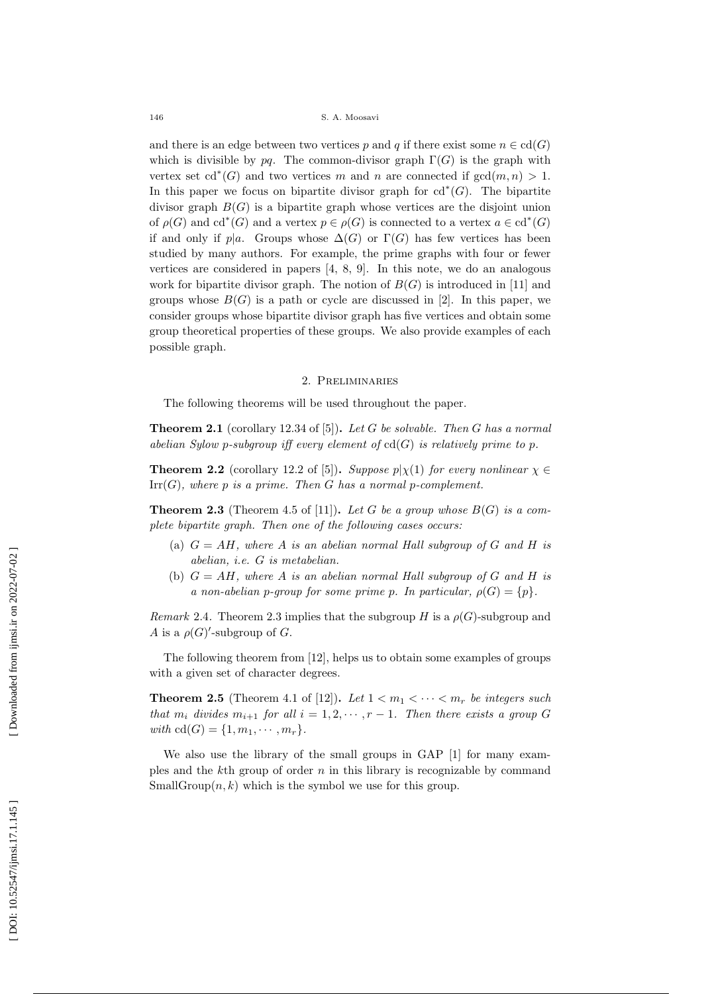and there is an edge between two vertices p and q if there exist some  $n \in \text{cd}(G)$ which is divisible by pq. The common-divisor graph  $\Gamma(G)$  is the graph with vertex set  $\mathrm{cd}^*(G)$  and two vertices m and n are connected if  $\gcd(m, n) > 1$ . In this paper we focus on bipartite divisor graph for  $cd^*(G)$ . The bipartite divisor graph  $B(G)$  is a bipartite graph whose vertices are the disjoint union of  $\rho(G)$  and cd<sup>\*</sup>(G) and a vertex  $p \in \rho(G)$  is connected to a vertex  $a \in \text{cd}^*(G)$ if and only if  $p|a$ . Groups whose  $\Delta(G)$  or  $\Gamma(G)$  has few vertices has been studied by many authors. For example, the prime graphs with four or fewer vertices are considered in papers [4, 8, 9]. In this note, we do an analogous work for bipartite divisor graph. The notion of  $B(G)$  is introduced in [11] and groups whose  $B(G)$  is a path or cycle are discussed in [2]. In this paper, we consider groups whose bipartite divisor graph has five vertices and obtain some group theoretical properties of these groups. We also provide examples of each possible graph.

### 2. Preliminaries

The following theorems will be used throughout the paper.

**Theorem 2.1** (corollary 12.34 of [5]). Let G be solvable. Then G has a normal abelian Sylow p-subgroup iff every element of  $cd(G)$  is relatively prime to p.

**Theorem 2.2** (corollary 12.2 of [5]). Suppose  $p|\chi(1)$  for every nonlinear  $\chi \in$  $\mathrm{Irr}(G)$ , where p is a prime. Then G has a normal p-complement.

**Theorem 2.3** (Theorem 4.5 of [11]). Let G be a group whose  $B(G)$  is a complete bipartite graph. Then one of the following cases occurs:

- (a)  $G = AH$ , where A is an abelian normal Hall subgroup of G and H is abelian, i.e. G is metabelian.
- (b)  $G = AH$ , where A is an abelian normal Hall subgroup of G and H is a non-abelian p-group for some prime p. In particular,  $\rho(G) = \{p\}.$

Remark 2.4. Theorem 2.3 implies that the subgroup H is a  $\rho(G)$ -subgroup and A is a  $\rho(G)'$ -subgroup of G.

The following theorem from [12], helps us to obtain some examples of groups with a given set of character degrees.

**Theorem 2.5** (Theorem 4.1 of [12]). Let  $1 < m_1 < \cdots < m_r$  be integers such that  $m_i$  divides  $m_{i+1}$  for all  $i = 1, 2, \dots, r-1$ . Then there exists a group G with  $cd(G) = \{1, m_1, \dots, m_r\}.$ 

We also use the library of the small groups in GAP [1] for many examples and the  $k$ th group of order  $n$  in this library is recognizable by command SmallGroup $(n, k)$  which is the symbol we use for this group.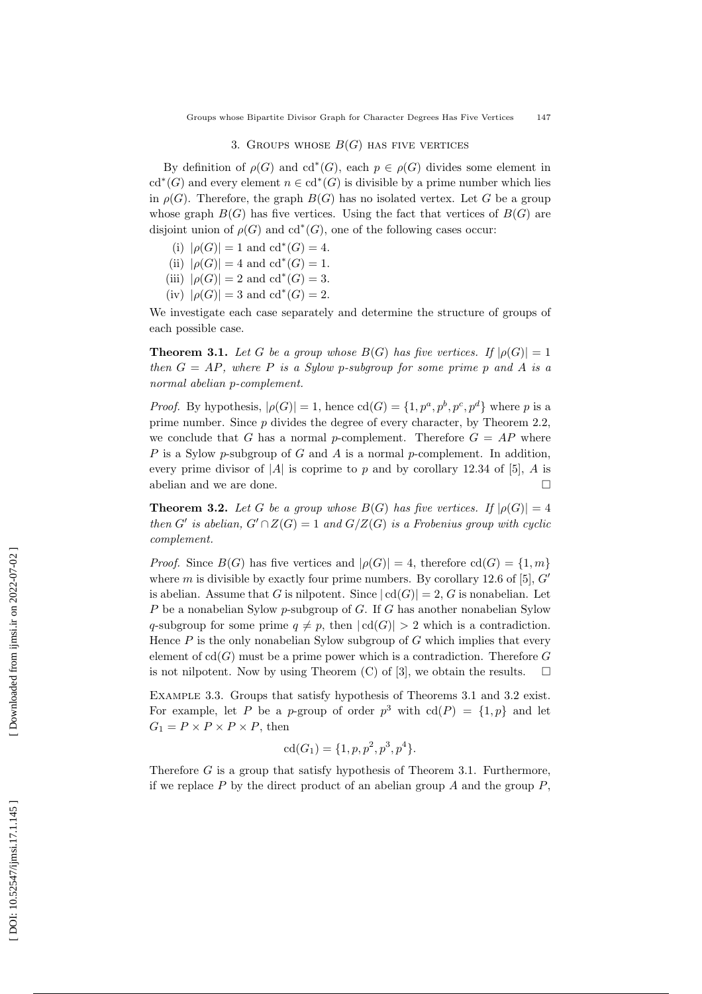# 3. GROUPS WHOSE  $B(G)$  has five vertices

By definition of  $\rho(G)$  and  $\mathrm{cd}^*(G)$ , each  $p \in \rho(G)$  divides some element in cd<sup>\*</sup>(G) and every element  $n \in \text{cd}^*(G)$  is divisible by a prime number which lies in  $\rho(G)$ . Therefore, the graph  $B(G)$  has no isolated vertex. Let G be a group whose graph  $B(G)$  has five vertices. Using the fact that vertices of  $B(G)$  are disjoint union of  $\rho(G)$  and  $cd^*(G)$ , one of the following cases occur:

- (i)  $|\rho(G)| = 1$  and  $cd^*(G) = 4$ .
- (ii)  $|\rho(G)| = 4$  and  $cd^*(G) = 1$ .
- (iii)  $|\rho(G)| = 2$  and  $\text{cd}^*(G) = 3$ .
- (iv)  $|\rho(G)| = 3$  and cd<sup>\*</sup>(G) = 2.

We investigate each case separately and determine the structure of groups of each possible case.

**Theorem 3.1.** Let G be a group whose  $B(G)$  has five vertices. If  $|\rho(G)| = 1$ then  $G = AP$ , where P is a Sylow p-subgroup for some prime p and A is a normal abelian p-complement.

*Proof.* By hypothesis,  $|\rho(G)| = 1$ , hence  $cd(G) = \{1, p^a, p^b, p^c, p^d\}$  where p is a prime number. Since p divides the degree of every character, by Theorem 2.2, we conclude that G has a normal p-complement. Therefore  $G = AP$  where P is a Sylow p-subgroup of G and A is a normal p-complement. In addition, every prime divisor of  $|A|$  is coprime to p and by corollary 12.34 of [5], A is abelian and we are done.  $\Box$ 

**Theorem 3.2.** Let G be a group whose  $B(G)$  has five vertices. If  $|\rho(G)| = 4$ then G' is abelian,  $G' \cap Z(G) = 1$  and  $G/Z(G)$  is a Frobenius group with cyclic complement.

*Proof.* Since  $B(G)$  has five vertices and  $|\rho(G)| = 4$ , therefore  $cd(G) = \{1, m\}$ where  $m$  is divisible by exactly four prime numbers. By corollary 12.6 of [5],  $G'$ is abelian. Assume that G is nilpotent. Since  $|cd(G)| = 2$ , G is nonabelian. Let P be a nonabelian Sylow p-subgroup of G. If G has another nonabelian Sylow q-subgroup for some prime  $q \neq p$ , then  $|cd(G)| > 2$  which is a contradiction. Hence  $P$  is the only nonabelian Sylow subgroup of  $G$  which implies that every element of  $cd(G)$  must be a prime power which is a contradiction. Therefore G is not nilpotent. Now by using Theorem (C) of [3], we obtain the results.  $\Box$ 

EXAMPLE 3.3. Groups that satisfy hypothesis of Theorems 3.1 and 3.2 exist. For example, let P be a p-group of order  $p^3$  with  $cd(P) = \{1, p\}$  and let  $G_1 = P \times P \times P \times P$ , then

$$
cd(G_1) = \{1, p, p^2, p^3, p^4\}.
$$

Therefore G is a group that satisfy hypothesis of Theorem 3.1. Furthermore, if we replace  $P$  by the direct product of an abelian group  $A$  and the group  $P$ ,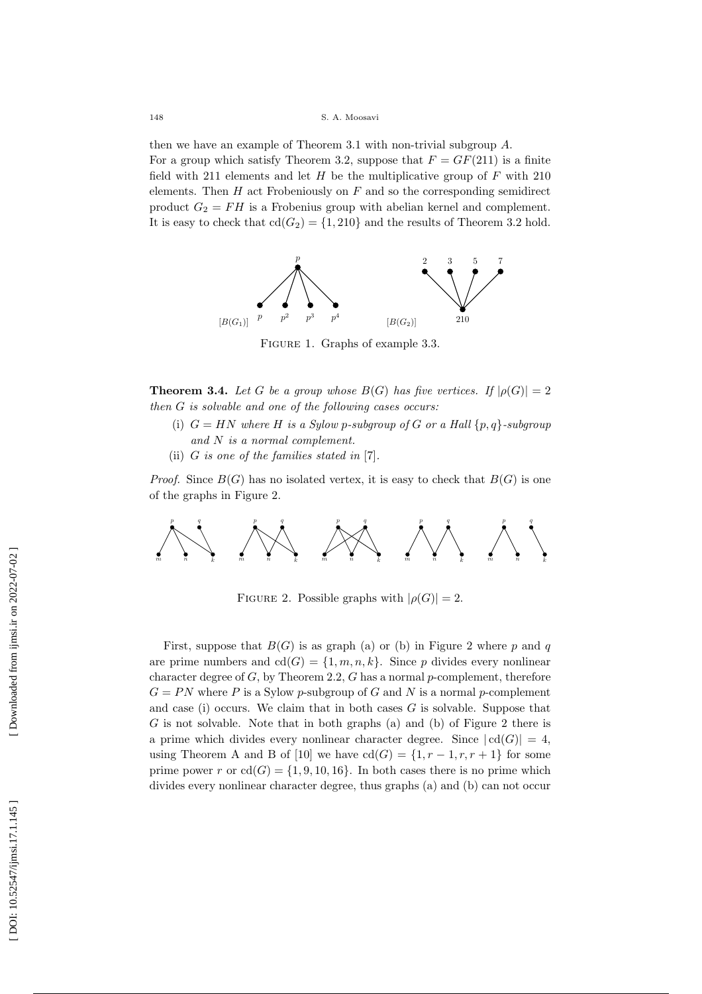148 S. A. Moosavi

then we have an example of Theorem 3.1 with non-trivial subgroup A . For a group which satisfy Theorem 3.2, suppose that  $F = GF(211)$  is a finite field with 211 elements and let  $H$  be the multiplicative group of  $F$  with 210 elements. Then  $H$  act Frobeniously on  $F$  and so the corresponding semidirect product  $G_2 = FH$  is a Frobenius group with abelian kernel and complement. It is easy to check that  $cd(G_2) = \{1, 210\}$  and the results of Theorem 3.2 hold.



Figure 1. Graphs of example 3.3.

**Theorem 3.4.** Let G be a group whose  $B(G)$  has five vertices. If  $|\rho(G)| = 2$ then G is solvable and one of the following cases occurs:

- (i)  $G = HN$  where H is a Sylow p-subgroup of G or a Hall  $\{p,q\}$ -subgroup and N is a normal complement.
- (ii)  $G$  is one of the families stated in  $[7]$ .

*Proof.* Since  $B(G)$  has no isolated vertex, it is easy to check that  $B(G)$  is one of the graphs in Figure 2.



FIGURE 2. Possible graphs with  $|\rho(G)| = 2$ .

First, suppose that  $B(G)$  is as graph (a) or (b) in Figure 2 where p and q are prime numbers and  $cd(G) = \{1, m, n, k\}$ . Since p divides every nonlinear character degree of  $G$ , by Theorem 2.2,  $G$  has a normal  $p$ -complement, therefore  $G = PN$  where P is a Sylow p-subgroup of G and N is a normal p-complement and case (i) occurs. We claim that in both cases  $G$  is solvable. Suppose that G is not solvable. Note that in both graphs (a) and (b) of Figure 2 there is a prime which divides every nonlinear character degree. Since  $|cd(G)| = 4$ , using Theorem A and B of [10] we have  $cd(G) = \{1, r-1, r, r+1\}$  for some prime power r or  $cd(G) = \{1, 9, 10, 16\}$ . In both cases there is no prime which divides every nonlinear character degree, thus graphs (a) and (b) can not occur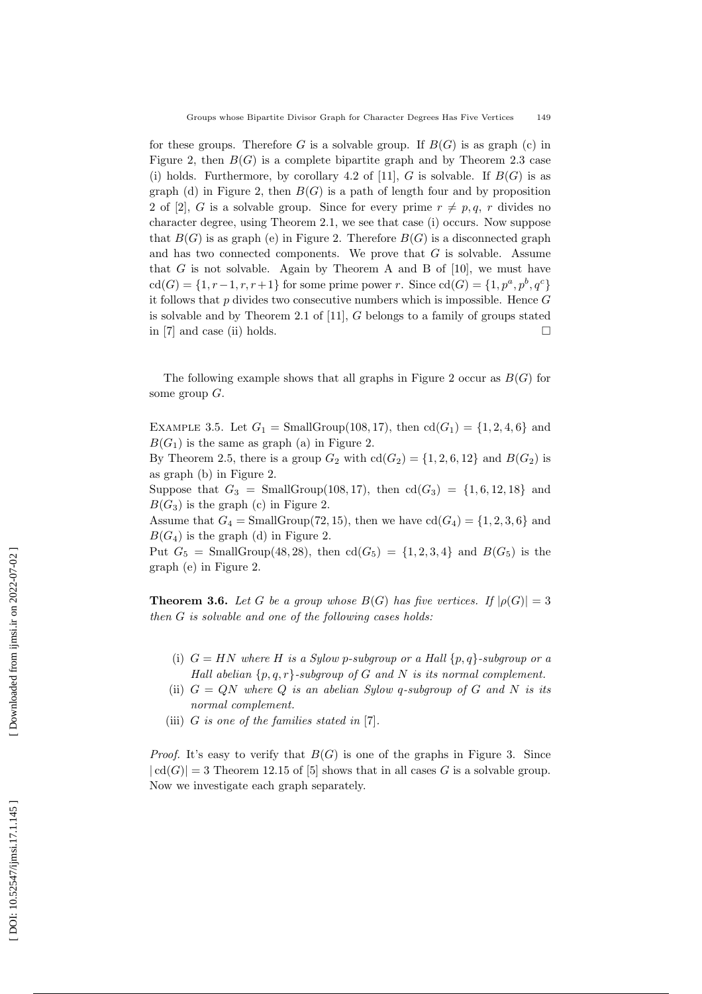for these groups. Therefore G is a solvable group. If  $B(G)$  is as graph (c) in Figure 2, then  $B(G)$  is a complete bipartite graph and by Theorem 2.3 case (i) holds. Furthermore, by corollary 4.2 of [11], G is solvable. If  $B(G)$  is as graph (d) in Figure 2, then  $B(G)$  is a path of length four and by proposition 2 of [2], G is a solvable group. Since for every prime  $r \neq p, q, r$  divides no character degree, using Theorem 2.1, we see that case (i) occurs. Now suppose that  $B(G)$  is as graph (e) in Figure 2. Therefore  $B(G)$  is a disconnected graph and has two connected components. We prove that  $G$  is solvable. Assume that  $G$  is not solvable. Again by Theorem A and B of  $[10]$ , we must have  $cd(G) = \{1, r-1, r, r+1\}$  for some prime power r. Since  $cd(G) = \{1, p^a, p^b, q^c\}$ it follows that p divides two consecutive numbers which is impossible. Hence G is solvable and by Theorem 2.1 of [11], G belongs to a family of groups stated in [7] and case (ii) holds.  $\Box$ 

The following example shows that all graphs in Figure 2 occur as  $B(G)$  for some group G .

EXAMPLE 3.5. Let  $G_1 = \text{SmallGroup}(108, 17)$ , then  $cd(G_1) = \{1, 2, 4, 6\}$  and  $B(G_1)$  is the same as graph (a) in Figure 2.

By Theorem 2.5, there is a group  $G_2$  with  $cd(G_2) = \{1, 2, 6, 12\}$  and  $B(G_2)$  is as graph (b) in Figure 2.

Suppose that  $G_3 = \text{SmallGroup}(108,17)$ , then  $cd(G_3) = \{1,6,12,18\}$  and  $B(G_3)$  is the graph (c) in Figure 2.

Assume that  $G_4 = \text{SmallGroup}(72, 15)$ , then we have  $cd(G_4) = \{1, 2, 3, 6\}$  and  $B(G_4)$  is the graph (d) in Figure 2.

Put  $G_5 = \text{SmallGroup}(48, 28)$ , then  $cd(G_5) = \{1, 2, 3, 4\}$  and  $B(G_5)$  is the graph (e) in Figure 2.

**Theorem 3.6.** Let G be a group whose  $B(G)$  has five vertices. If  $|\rho(G)| = 3$ then G is solvable and one of the following cases holds:

- (i)  $G = HN$  where H is a Sylow p-subgroup or a Hall  $\{p,q\}$ -subgroup or a Hall abelian  $\{p,q,r\}$ -subgroup of G and N is its normal complement.
- (ii)  $G = QN$  where Q is an abelian Sylow q-subgroup of G and N is its normal complement.
- (iii)  $G$  is one of the families stated in  $[7]$ .

*Proof.* It's easy to verify that  $B(G)$  is one of the graphs in Figure 3. Since  $| \text{cd}(G) | = 3$  Theorem 12.15 of [5] shows that in all cases G is a solvable group. Now we investigate each graph separately.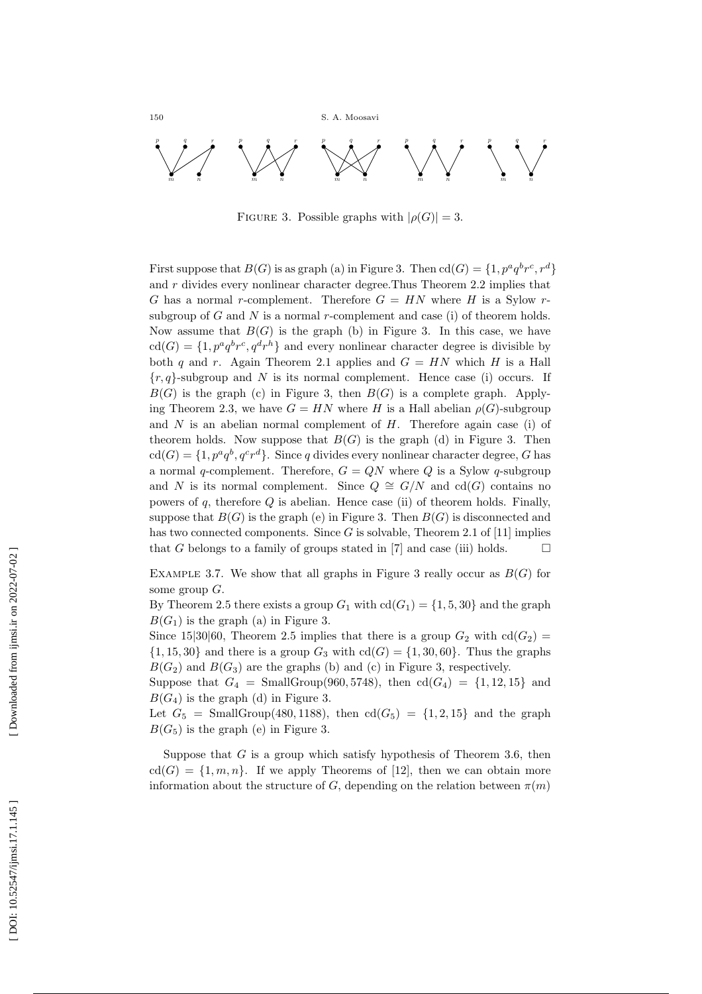150 S. A. Moosavi



FIGURE 3. Possible graphs with  $|\rho(G)| = 3$ .

First suppose that  $B(G)$  is as graph (a) in Figure 3. Then  $cd(G) = \{1, p^a q^b r^c, r^d\}$ and r divides every nonlinear character degree.Thus Theorem 2.2 implies that G has a normal r-complement. Therefore  $G = HN$  where H is a Sylow rsubgroup of  $G$  and  $N$  is a normal  $r$ -complement and case (i) of theorem holds. Now assume that  $B(G)$  is the graph (b) in Figure 3. In this case, we have  $\text{cd}(G) = \{1, p^a q^b r^c, q^d r^h\}$  and every nonlinear character degree is divisible by both q and r. Again Theorem 2.1 applies and  $G = HN$  which H is a Hall  ${r, q}$ -subgroup and N is its normal complement. Hence case (i) occurs. If  $B(G)$  is the graph (c) in Figure 3, then  $B(G)$  is a complete graph. Applying Theorem 2.3, we have  $G = HN$  where H is a Hall abelian  $\rho(G)$ -subgroup and  $N$  is an abelian normal complement of  $H$ . Therefore again case (i) of theorem holds. Now suppose that  $B(G)$  is the graph (d) in Figure 3. Then  $\text{cd}(G) = \{1, p^a q^b, q^c r^d\}.$  Since q divides every nonlinear character degree, G has a normal q-complement. Therefore,  $G = QN$  where Q is a Sylow q-subgroup and N is its normal complement. Since  $Q \cong G/N$  and  $cd(G)$  contains no powers of  $q$ , therefore  $Q$  is abelian. Hence case (ii) of theorem holds. Finally, suppose that  $B(G)$  is the graph (e) in Figure 3. Then  $B(G)$  is disconnected and has two connected components. Since  $G$  is solvable, Theorem 2.1 of [11] implies that  $G$  belongs to a family of groups stated in  $[7]$  and case (iii) holds.  $\Box$ 

EXAMPLE 3.7. We show that all graphs in Figure 3 really occur as  $B(G)$  for some group G .

By Theorem 2.5 there exists a group  $G_1$  with  $cd(G_1) = \{1, 5, 30\}$  and the graph  $B(G_1)$  is the graph (a) in Figure 3.

Since 15|30|60, Theorem 2.5 implies that there is a group  $G_2$  with  $cd(G_2)$  =  $\{1, 15, 30\}$  and there is a group  $G_3$  with  $cd(G) = \{1, 30, 60\}$ . Thus the graphs  $B(G_2)$  and  $B(G_3)$  are the graphs (b) and (c) in Figure 3, respectively.

Suppose that  $G_4 = \text{SmallGroup}(960,5748)$ , then  $cd(G_4) = \{1, 12, 15\}$  and  $B(G_4)$  is the graph (d) in Figure 3.

Let  $G_5 = \text{SmallGroup}(480, 1188)$ , then  $cd(G_5) = \{1, 2, 15\}$  and the graph  $B(G_5)$  is the graph (e) in Figure 3.

Suppose that  $G$  is a group which satisfy hypothesis of Theorem 3.6, then  $cd(G) = \{1, m, n\}$ . If we apply Theorems of [12], then we can obtain more information about the structure of G, depending on the relation between  $\pi(m)$